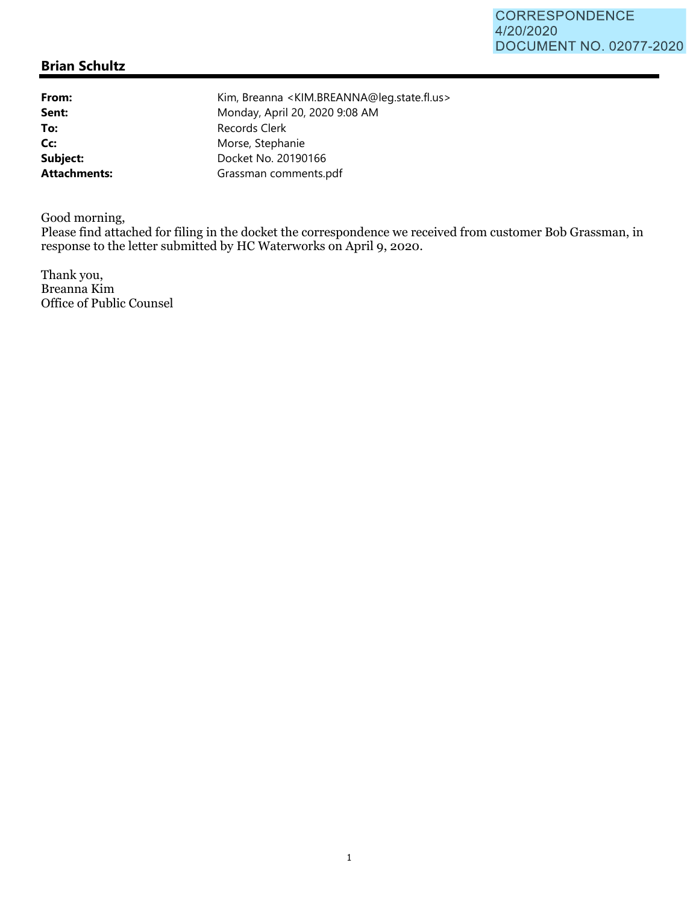## **Brian Schultz**

To: Records Clerk

**From:** Kim, Breanna <KIM.BREANNA@leg.state.fl.us> **Sent:** Monday, April 20, 2020 9:08 AM Cc: Morse, Stephanie **Subject:** Docket No. 20190166 **Attachments:** Grassman comments.pdf

Good morning,

Please find attached for filing in the docket the correspondence we received from customer Bob Grassman, in response to the letter submitted by HC Waterworks on April 9, 2020.

Thank you, Breanna Kim Office of Public Counsel